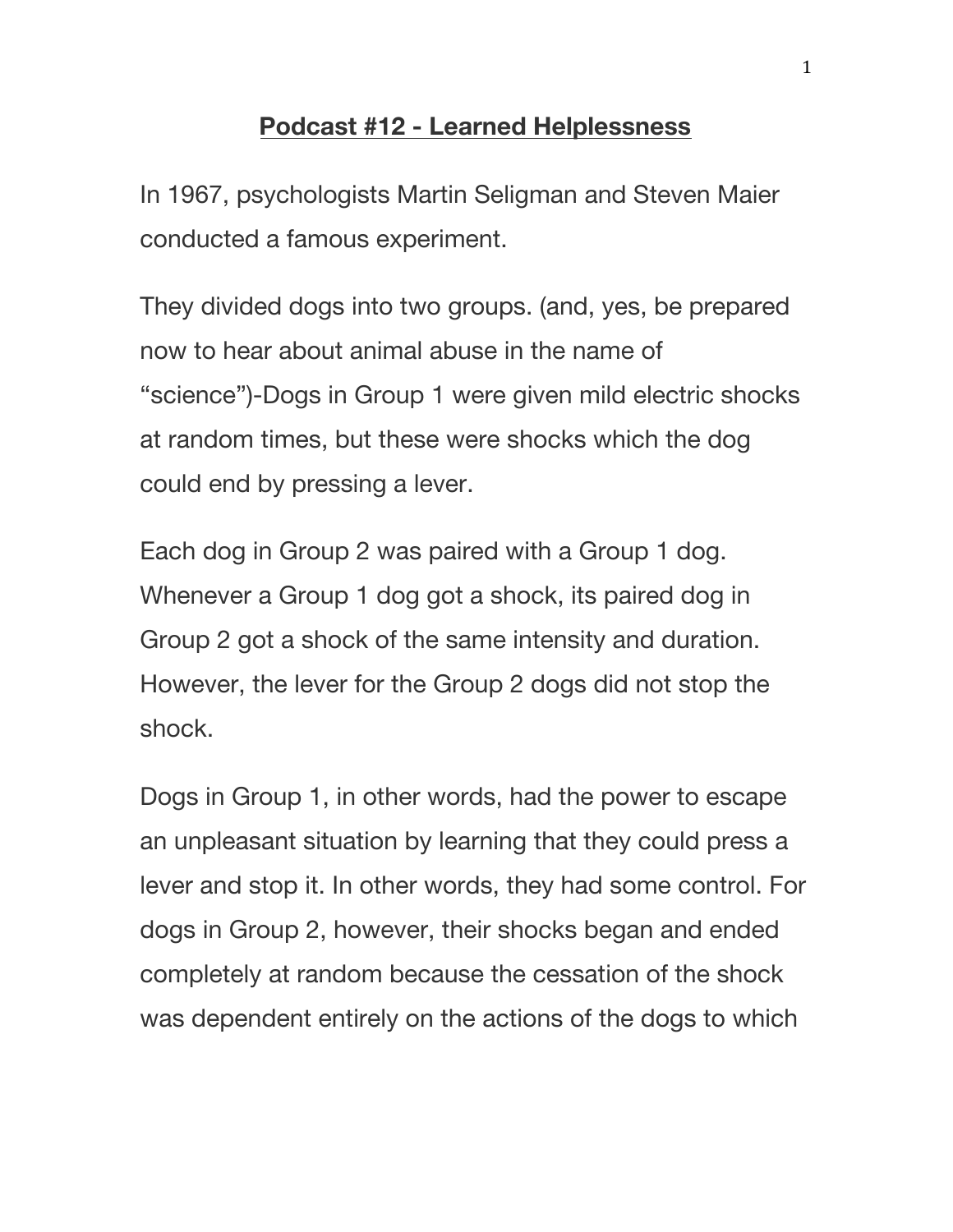## **Podcast #12 - Learned Helplessness**

In 1967, psychologists Martin Seligman and Steven Maier conducted a famous experiment.

They divided dogs into two groups. (and, yes, be prepared now to hear about animal abuse in the name of "science")-Dogs in Group 1 were given mild electric shocks at random times, but these were shocks which the dog could end by pressing a lever.

Each dog in Group 2 was paired with a Group 1 dog. Whenever a Group 1 dog got a shock, its paired dog in Group 2 got a shock of the same intensity and duration. However, the lever for the Group 2 dogs did not stop the shock.

Dogs in Group 1, in other words, had the power to escape an unpleasant situation by learning that they could press a lever and stop it. In other words, they had some control. For dogs in Group 2, however, their shocks began and ended completely at random because the cessation of the shock was dependent entirely on the actions of the dogs to which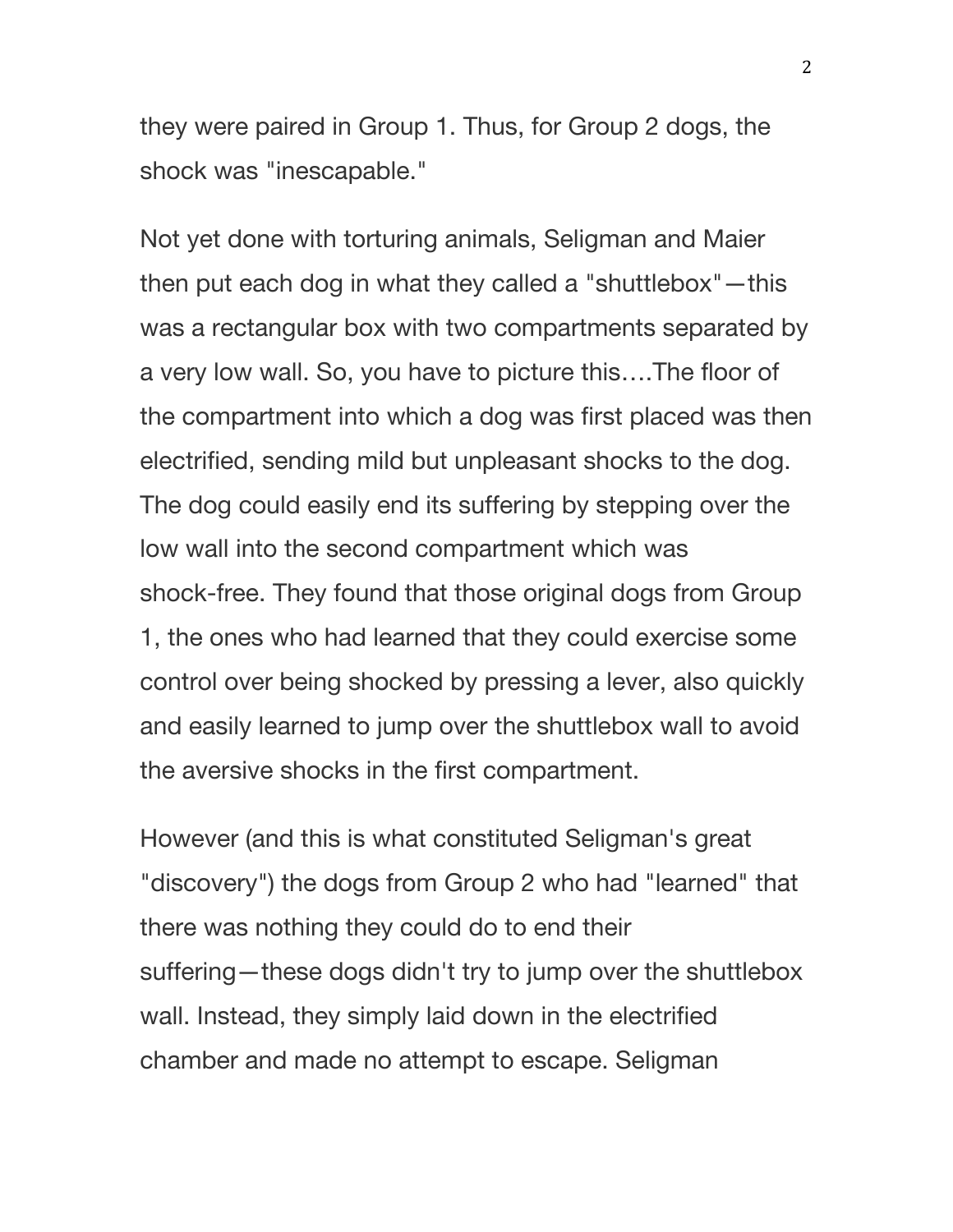they were paired in Group 1. Thus, for Group 2 dogs, the shock was "inescapable."

Not yet done with torturing animals, Seligman and Maier then put each dog in what they called a "shuttlebox"—this was a rectangular box with two compartments separated by a very low wall. So, you have to picture this….The floor of the compartment into which a dog was first placed was then electrified, sending mild but unpleasant shocks to the dog. The dog could easily end its suffering by stepping over the low wall into the second compartment which was shock-free. They found that those original dogs from Group 1, the ones who had learned that they could exercise some control over being shocked by pressing a lever, also quickly and easily learned to jump over the shuttlebox wall to avoid the aversive shocks in the first compartment.

However (and this is what constituted Seligman's great "discovery") the dogs from Group 2 who had "learned" that there was nothing they could do to end their suffering—these dogs didn't try to jump over the shuttlebox wall. Instead, they simply laid down in the electrified chamber and made no attempt to escape. Seligman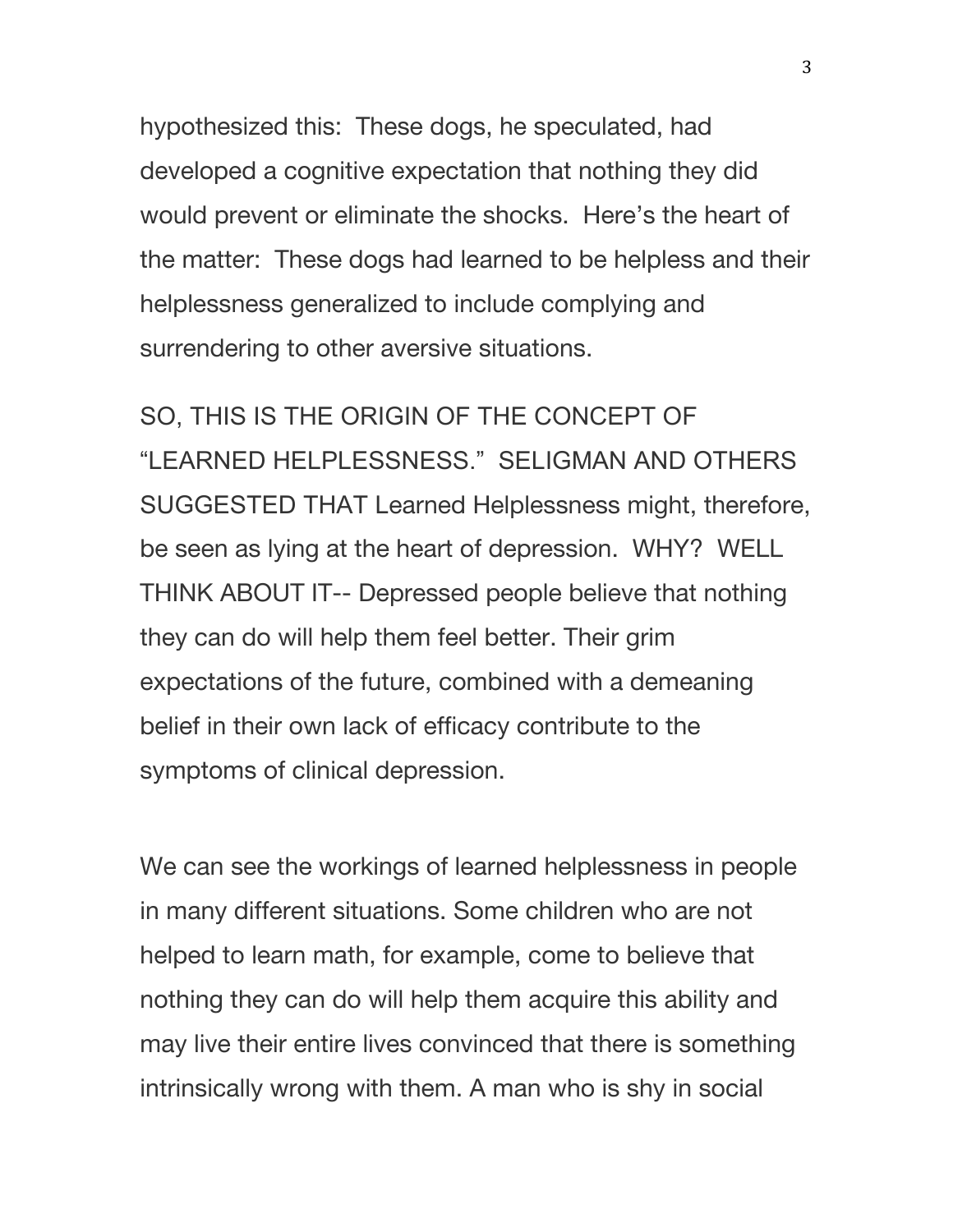hypothesized this: These dogs, he speculated, had developed a cognitive expectation that nothing they did would prevent or eliminate the shocks. Here's the heart of the matter: These dogs had learned to be helpless and their helplessness generalized to include complying and surrendering to other aversive situations.

SO, THIS IS THE ORIGIN OF THE CONCEPT OF "LEARNED HELPLESSNESS." SELIGMAN AND OTHERS SUGGESTED THAT Learned Helplessness might, therefore, be seen as lying at the heart of depression. WHY? WELL THINK ABOUT IT-- Depressed people believe that nothing they can do will help them feel better. Their grim expectations of the future, combined with a demeaning belief in their own lack of efficacy contribute to the symptoms of clinical depression.

We can see the workings of learned helplessness in people in many different situations. Some children who are not helped to learn math, for example, come to believe that nothing they can do will help them acquire this ability and may live their entire lives convinced that there is something intrinsically wrong with them. A man who is shy in social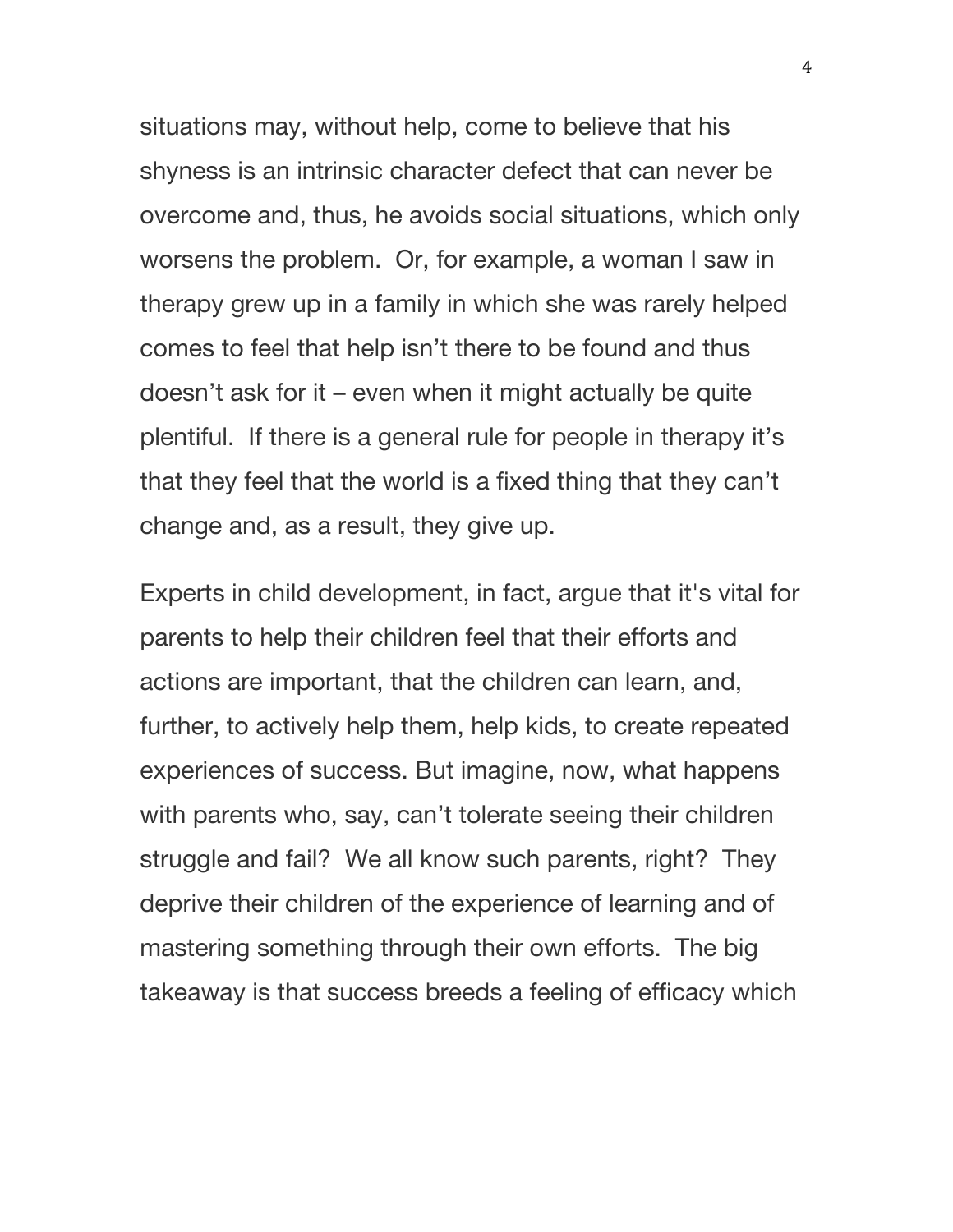situations may, without help, come to believe that his shyness is an intrinsic character defect that can never be overcome and, thus, he avoids social situations, which only worsens the problem. Or, for example, a woman I saw in therapy grew up in a family in which she was rarely helped comes to feel that help isn't there to be found and thus doesn't ask for it – even when it might actually be quite plentiful. If there is a general rule for people in therapy it's that they feel that the world is a fixed thing that they can't change and, as a result, they give up.

Experts in child development, in fact, argue that it's vital for parents to help their children feel that their efforts and actions are important, that the children can learn, and, further, to actively help them, help kids, to create repeated experiences of success. But imagine, now, what happens with parents who, say, can't tolerate seeing their children struggle and fail? We all know such parents, right? They deprive their children of the experience of learning and of mastering something through their own efforts. The big takeaway is that success breeds a feeling of efficacy which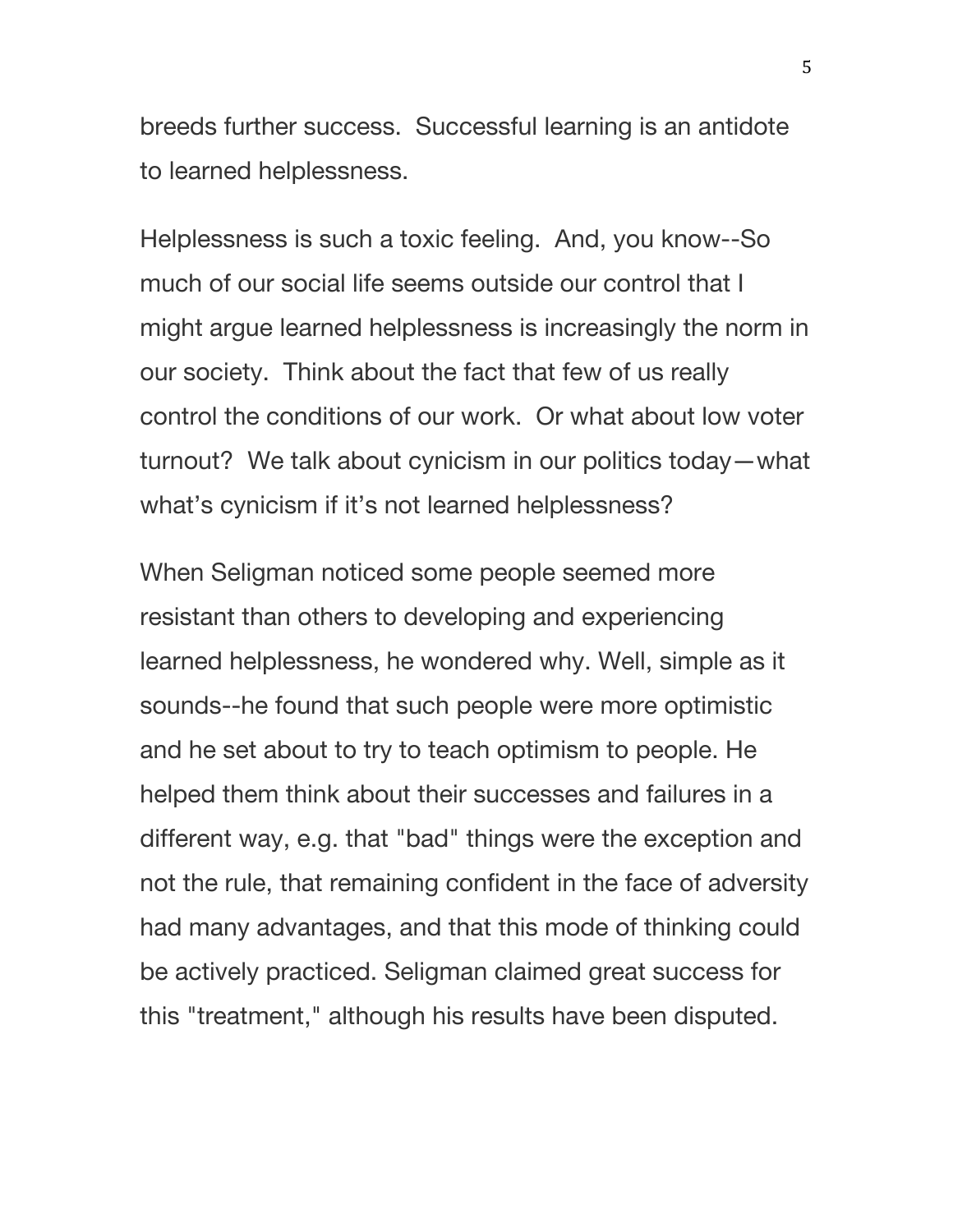breeds further success. Successful learning is an antidote to learned helplessness.

Helplessness is such a toxic feeling. And, you know--So much of our social life seems outside our control that I might argue learned helplessness is increasingly the norm in our society. Think about the fact that few of us really control the conditions of our work. Or what about low voter turnout? We talk about cynicism in our politics today—what what's cynicism if it's not learned helplessness?

When Seligman noticed some people seemed more resistant than others to developing and experiencing learned helplessness, he wondered why. Well, simple as it sounds--he found that such people were more optimistic and he set about to try to teach optimism to people. He helped them think about their successes and failures in a different way, e.g. that "bad" things were the exception and not the rule, that remaining confident in the face of adversity had many advantages, and that this mode of thinking could be actively practiced. Seligman claimed great success for this "treatment," although his results have been disputed.